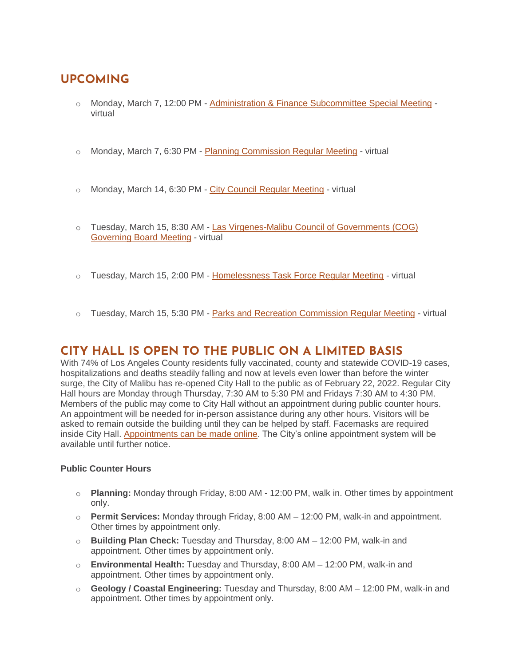# **UPCOMING**

- o Monday, March 7, 12:00 PM [Administration & Finance Subcommittee Special Meeting](https://malibucity.org/Calendar.aspx?EID=6609&month=3&year=2022&day=7&calType=0) virtual
- $\circ$  Monday, March 7, 6:30 PM [Planning Commission Regular Meeting](https://malibucity.org/Calendar.aspx?EID=6332&month=3&year=2022&day=7&calType=0) virtual
- o Monday, March 14, 6:30 PM [City Council Regular Meeting](https://malibucity.org/Calendar.aspx?EID=6308&month=3&year=2022&day=14&calType=0) virtual
- o Tuesday, March 15, 8:30 AM [Las Virgenes-Malibu Council of Governments \(COG\)](https://malibucity.org/Calendar.aspx?EID=6252&month=3&year=2022&day=15&calType=0)  [Governing Board Meeting](https://malibucity.org/Calendar.aspx?EID=6252&month=3&year=2022&day=15&calType=0) - virtual
- $\circ$  Tuesday, March 15, 2:00 PM [Homelessness Task Force Regular Meeting](https://malibucity.org/Calendar.aspx?EID=6228&month=3&year=2022&day=15&calType=0) virtual
- $\circ$  Tuesday, March 15, 5:30 PM [Parks and Recreation Commission Regular Meeting](https://malibucity.org/Calendar.aspx?EID=6295&month=3&year=2022&day=15&calType=0) virtual

# **CITY HALL IS OPEN TO THE PUBLIC ON A LIMITED BASIS**

With 74% of Los Angeles County residents fully vaccinated, county and statewide COVID-19 cases, hospitalizations and deaths steadily falling and now at levels even lower than before the winter surge, the City of Malibu has re-opened City Hall to the public as of February 22, 2022. Regular City Hall hours are Monday through Thursday, 7:30 AM to 5:30 PM and Fridays 7:30 AM to 4:30 PM. Members of the public may come to City Hall without an appointment during public counter hours. An appointment will be needed for in-person assistance during any other hours. Visitors will be asked to remain outside the building until they can be helped by staff. Facemasks are required inside City Hall. [Appointments can be made online.](http://www.malibucity.org/appointments) The City's online appointment system will be available until further notice.

#### **Public Counter Hours**

- o **Planning:** Monday through Friday, 8:00 AM 12:00 PM, walk in. Other times by appointment only.
- o **Permit Services:** Monday through Friday, 8:00 AM 12:00 PM, walk-in and appointment. Other times by appointment only.
- o **Building Plan Check:** Tuesday and Thursday, 8:00 AM 12:00 PM, walk-in and appointment. Other times by appointment only.
- o **Environmental Health:** Tuesday and Thursday, 8:00 AM 12:00 PM, walk-in and appointment. Other times by appointment only.
- o **Geology / Coastal Engineering:** Tuesday and Thursday, 8:00 AM 12:00 PM, walk-in and appointment. Other times by appointment only.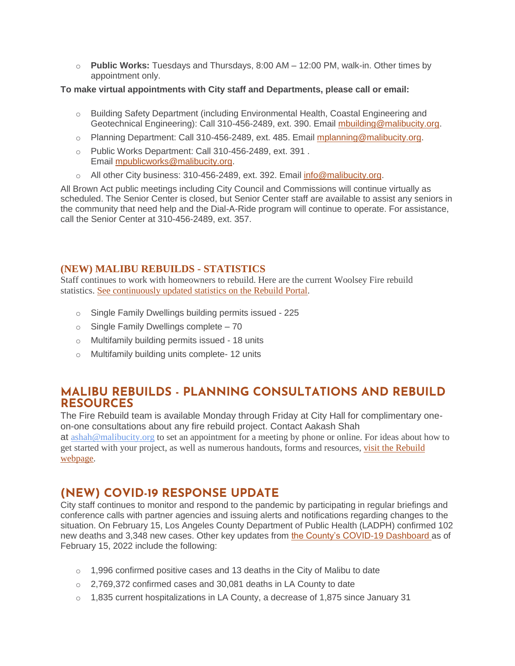o **Public Works:** Tuesdays and Thursdays, 8:00 AM – 12:00 PM, walk-in. Other times by appointment only.

#### **To make virtual appointments with City staff and Departments, please call or email:**

- o Building Safety Department (including Environmental Health, Coastal Engineering and Geotechnical Engineering): Call 310-456-2489, ext. 390. Email [mbuilding@malibucity.org.](mailto:mbuilding@malibucity.org)
- $\circ$  Planning Department: Call 310-456-2489, ext. 485. Email [mplanning@malibucity.org.](mailto:mplanning@malibucity.org)
- o Public Works Department: Call 310-456-2489, ext. 391 . Email [mpublicworks@malibucity.org.](mailto:mpublicworks@malibucity.org)
- o All other City business: 310-456-2489, ext. 392. Email [info@malibucity.org.](mailto:info@malibucity.org)

All Brown Act public meetings including City Council and Commissions will continue virtually as scheduled. The Senior Center is closed, but Senior Center staff are available to assist any seniors in the community that need help and the Dial-A-Ride program will continue to operate. For assistance, call the Senior Center at 310-456-2489, ext. 357.

#### **(NEW) MALIBU REBUILDS - STATISTICS**

Staff continues to work with homeowners to rebuild. Here are the current Woolsey Fire rebuild statistics. See [continuously](https://malibupermits.ci.malibu.ca.us/WoolseyRebuildStats.aspx?returnId=901) updated statistics on the Rebuild Portal.

- o Single Family Dwellings building permits issued 225
- $\circ$  Single Family Dwellings complete 70
- o Multifamily building permits issued 18 units
- o Multifamily building units complete- 12 units

## **MALIBU REBUILDS - PLANNING CONSULTATIONS AND REBUILD RESOURCES**

The Fire Rebuild team is available Monday through Friday at City Hall for complimentary oneon-one consultations about any fire rebuild project. Contact Aakash Shah at [ashah@malibucity.org](mailto:ashah@malibucity.org) to set an appointment for a meeting by phone or online. For ideas about how to get started with your project, as well as numerous handouts, forms and resources, visit the [Rebuild](https://www.malibucity.org/901/Malibu-Rebuilds) [webpage.](https://www.malibucity.org/901/Malibu-Rebuilds)

## **(NEW) COVID-19 RESPONSE UPDATE**

City staff continues to monitor and respond to the pandemic by participating in regular briefings and conference calls with partner agencies and issuing alerts and notifications regarding changes to the situation. On February 15, Los Angeles County Department of Public Health (LADPH) confirmed 102 new deaths and 3,348 new cases. Other key updates from [the County's COVID-19 Dashboard](http://publichealth.lacounty.gov/media/coronavirus/data/index.htm) as of February 15, 2022 include the following:

- $\circ$  1,996 confirmed positive cases and 13 deaths in the City of Malibu to date
- o 2,769,372 confirmed cases and 30,081 deaths in LA County to date
- $\circ$  1,835 current hospitalizations in LA County, a decrease of 1,875 since January 31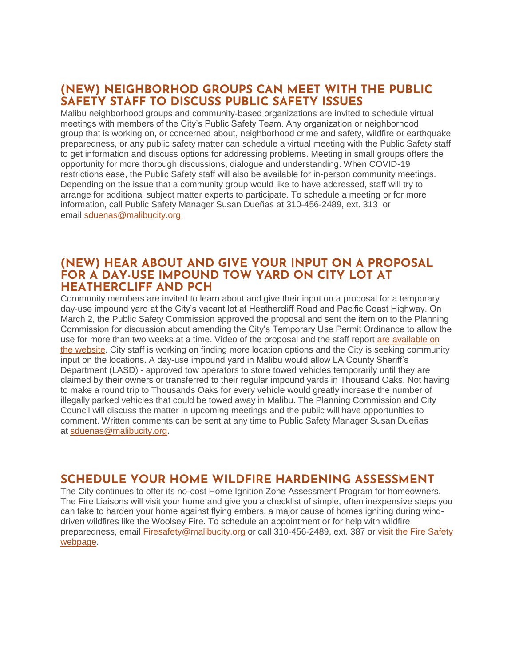## **(NEW) NEIGHBORHOD GROUPS CAN MEET WITH THE PUBLIC SAFETY STAFF TO DISCUSS PUBLIC SAFETY ISSUES**

Malibu neighborhood groups and community-based organizations are invited to schedule virtual meetings with members of the City's Public Safety Team. Any organization or neighborhood group that is working on, or concerned about, neighborhood crime and safety, wildfire or earthquake preparedness, or any public safety matter can schedule a virtual meeting with the Public Safety staff to get information and discuss options for addressing problems. Meeting in small groups offers the opportunity for more thorough discussions, dialogue and understanding. When COVID-19 restrictions ease, the Public Safety staff will also be available for in-person community meetings. Depending on the issue that a community group would like to have addressed, staff will try to arrange for additional subject matter experts to participate. To schedule a meeting or for more information, call Public Safety Manager Susan Dueñas at 310-456-2489, ext. 313 or email [sduenas@malibucity.org.](mailto:sduenas@malibucity.org)

#### **(NEW) HEAR ABOUT AND GIVE YOUR INPUT ON A PROPOSAL FOR A DAY-USE IMPOUND TOW YARD ON CITY LOT AT HEATHERCLIFF AND PCH**

Community members are invited to learn about and give their input on a proposal for a temporary day-use impound yard at the City's vacant lot at Heathercliff Road and Pacific Coast Highway. On March 2, the Public Safety Commission approved the proposal and sent the item on to the Planning Commission for discussion about amending the City's Temporary Use Permit Ordinance to allow the use for more than two weeks at a time. Video of the proposal and the staff report [are available on](https://malibucity.primegov.com/Portal/Meeting?compiledMeetingDocumentFileId=2431)  [the website.](https://malibucity.primegov.com/Portal/Meeting?compiledMeetingDocumentFileId=2431) City staff is working on finding more location options and the City is seeking community input on the locations. A day-use impound yard in Malibu would allow LA County Sheriff's Department (LASD) - approved tow operators to store towed vehicles temporarily until they are claimed by their owners or transferred to their regular impound yards in Thousand Oaks. Not having to make a round trip to Thousands Oaks for every vehicle would greatly increase the number of illegally parked vehicles that could be towed away in Malibu. The Planning Commission and City Council will discuss the matter in upcoming meetings and the public will have opportunities to comment. Written comments can be sent at any time to Public Safety Manager Susan Dueñas at [sduenas@malibucity.org.](mailto:sduenas@malibucity.org)

## **SCHEDULE YOUR HOME WILDFIRE HARDENING ASSESSMENT**

The City continues to offer its no-cost Home Ignition Zone Assessment Program for homeowners. The Fire Liaisons will visit your home and give you a checklist of simple, often inexpensive steps you can take to harden your home against flying embers, a major cause of homes igniting during winddriven wildfires like the Woolsey Fire. To schedule an appointment or for help with wildfire preparedness, email [Firesafety@malibucity.org](mailto:Firesafety@malibucity.org) or call 310-456-2489, ext. 387 or visit the Fire Safety [webpage.](https://www.malibucity.org/firesafety)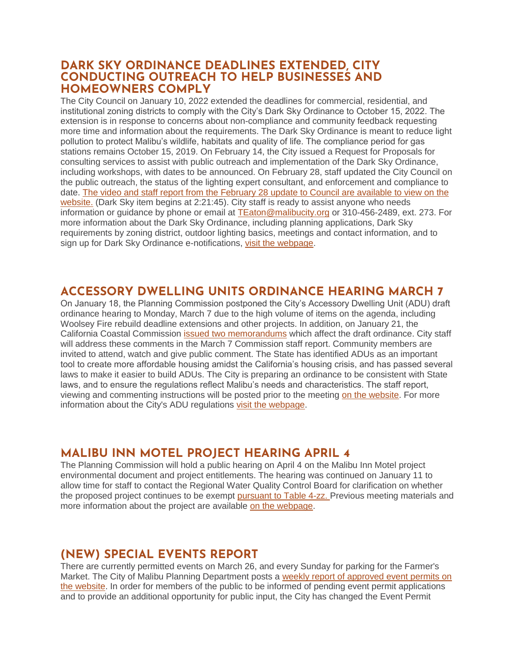#### **DARK SKY ORDINANCE DEADLINES EXTENDED, CITY CONDUCTING OUTREACH TO HELP BUSINESSES AND HOMEOWNERS COMPLY**

The City Council on January 10, 2022 extended the deadlines for commercial, residential, and institutional zoning districts to comply with the City's Dark Sky Ordinance to October 15, 2022. The extension is in response to concerns about non-compliance and community feedback requesting more time and information about the requirements. The Dark Sky Ordinance is meant to reduce light pollution to protect Malibu's wildlife, habitats and quality of life. The compliance period for gas stations remains October 15, 2019. On February 14, the City issued a Request for Proposals for consulting services to assist with public outreach and implementation of the Dark Sky Ordinance, including workshops, with dates to be announced. On February 28, staff updated the City Council on the public outreach, the status of the lighting expert consultant, and enforcement and compliance to date. [The video and staff report from the February 28 update to Council are available to view on the](https://malibucity.primegov.com/Portal/Meeting?compiledMeetingDocumentFileId=2419)  [website.](https://malibucity.primegov.com/Portal/Meeting?compiledMeetingDocumentFileId=2419) (Dark Sky item begins at 2:21:45). City staff is ready to assist anyone who needs information or guidance by phone or email at [TEaton@malibucity.org](mailto:TEaton@malibucity.org) or 310-456-2489, ext. 273. For more information about the Dark Sky Ordinance, including planning applications, Dark Sky requirements by zoning district, outdoor lighting basics, meetings and contact information, and to sign up for Dark Sky Ordinance e-notifications, [visit the webpage.](https://www.malibucity.org/darksky)

## **ACCESSORY DWELLING UNITS ORDINANCE HEARING MARCH 7**

On January 18, the Planning Commission postponed the City's Accessory Dwelling Unit (ADU) draft ordinance hearing to Monday, March 7 due to the high volume of items on the agenda, including Woolsey Fire rebuild deadline extensions and other projects. In addition, on January 21, the California Coastal Commission [issued two memorandums](https://malibucity.org/Admin/DocumentCenter/Document/View/29411/Combined-CCC-Memos_January-2022) which affect the draft ordinance. City staff will address these comments in the March 7 Commission staff report. Community members are invited to attend, watch and give public comment. The State has identified ADUs as an important tool to create more affordable housing amidst the California's housing crisis, and has passed several laws to make it easier to build ADUs. The City is preparing an ordinance to be consistent with State laws, and to ensure the regulations reflect Malibu's needs and characteristics. The staff report, viewing and commenting instructions will be posted prior to the meeting [on the website.](http://www.malibucity.org/virtualmeeting) For more information about the City's ADU regulations [visit the webpage.](https://www.malibucity.org/adu)

## **MALIBU INN MOTEL PROJECT HEARING APRIL 4**

The Planning Commission will hold a public hearing on April 4 on the Malibu Inn Motel project environmental document and project entitlements. The hearing was continued on January 11 to allow time for staff to contact the Regional Water Quality Control Board for clarification on whether the proposed project continues to be exempt [pursuant to Table 4-zz.](https://malibucity.org/DocumentCenter/View/29241/Table4-zzResolutionR14-003) Previous meeting materials and more information about the project are available [on the webpage.](https://www.malibucity.org/810/Malibu-Inn-Motel)

# **(NEW) SPECIAL EVENTS REPORT**

There are currently permitted events on March 26, and every Sunday for parking for the Farmer's Market. The City of Malibu Planning Department posts a [weekly report of approved event permits on](https://www.malibucity.org/DocumentCenter/View/24661/Permitted-Events)  [the website.](https://www.malibucity.org/DocumentCenter/View/24661/Permitted-Events) In order for members of the public to be informed of pending event permit applications and to provide an additional opportunity for public input, the City has changed the Event Permit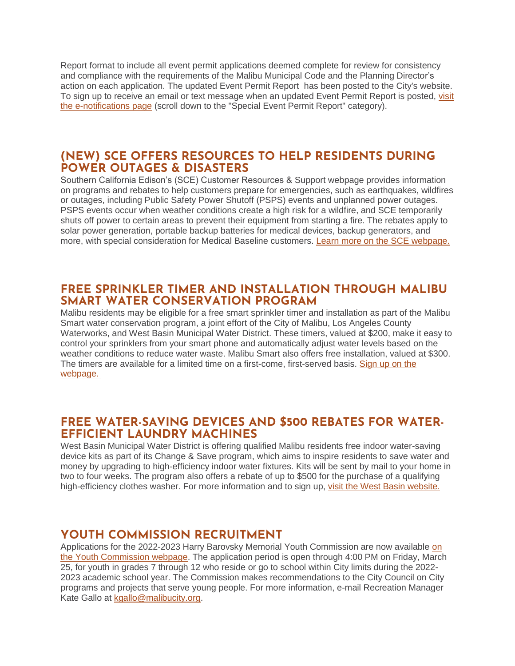Report format to include all event permit applications deemed complete for review for consistency and compliance with the requirements of the Malibu Municipal Code and the Planning Director's action on each application. The updated Event Permit Report has been posted to the City's website. To sign up to receive an email or text message when an updated Event Permit Report is posted, visit [the e-notifications page](https://www.malibucity.org/news) (scroll down to the "Special Event Permit Report" category).

## **(NEW) SCE OFFERS RESOURCES TO HELP RESIDENTS DURING POWER OUTAGES & DISASTERS**

Southern California Edison's (SCE) Customer Resources & Support webpage provides information on programs and rebates to help customers prepare for emergencies, such as earthquakes, wildfires or outages, including Public Safety Power Shutoff (PSPS) events and unplanned power outages. PSPS events occur when weather conditions create a high risk for a wildfire, and SCE temporarily shuts off power to certain areas to prevent their equipment from starting a fire. The rebates apply to solar power generation, portable backup batteries for medical devices, backup generators, and more, with special consideration for Medical Baseline customers. [Learn more on the SCE webpage.](https://www.sce.com/wildfire/customer-resources-and-support)

#### **FREE SPRINKLER TIMER AND INSTALLATION THROUGH MALIBU SMART WATER CONSERVATION PROGRAM**

Malibu residents may be eligible for a free smart sprinkler timer and installation as part of the Malibu Smart water conservation program, a joint effort of the City of Malibu, Los Angeles County Waterworks, and West Basin Municipal Water District. These timers, valued at \$200, make it easy to control your sprinklers from your smart phone and automatically adjust water levels based on the weather conditions to reduce water waste. Malibu Smart also offers free installation, valued at \$300. The timers are available for a limited time on a first-come, first-served basis. [Sign up on the](https://1num06zo47s.typeform.com/to/TA28QGIC)  [webpage.](https://1num06zo47s.typeform.com/to/TA28QGIC)

## **FREE WATER-SAVING DEVICES AND \$500 REBATES FOR WATER-EFFICIENT LAUNDRY MACHINES**

West Basin Municipal Water District is offering qualified Malibu residents free indoor water-saving device kits as part of its Change & Save program, which aims to inspire residents to save water and money by upgrading to high-efficiency indoor water fixtures. Kits will be sent by mail to your home in two to four weeks. The program also offers a rebate of up to \$500 for the purchase of a qualifying high-efficiency clothes washer. For more information and to sign up, [visit the West Basin website.](https://www.westbasin.org/conservation/conservation-programs/change-and-save/)

## **YOUTH COMMISSION RECRUITMENT**

Applications for the 2022-2023 Harry Barovsky Memorial Youth Commission are now available [on](https://www.malibucity.org/178/Harry-Barovsky-Memorial-Youth-Commission)  [the Youth Commission webpage.](https://www.malibucity.org/178/Harry-Barovsky-Memorial-Youth-Commission) The application period is open through 4:00 PM on Friday, March 25, for youth in grades 7 through 12 who reside or go to school within City limits during the 2022- 2023 academic school year. The Commission makes recommendations to the City Council on City programs and projects that serve young people. For more information, e-mail Recreation Manager Kate Gallo at [kgallo@malibucity.org.](mailto:kgallo@malibucity.org)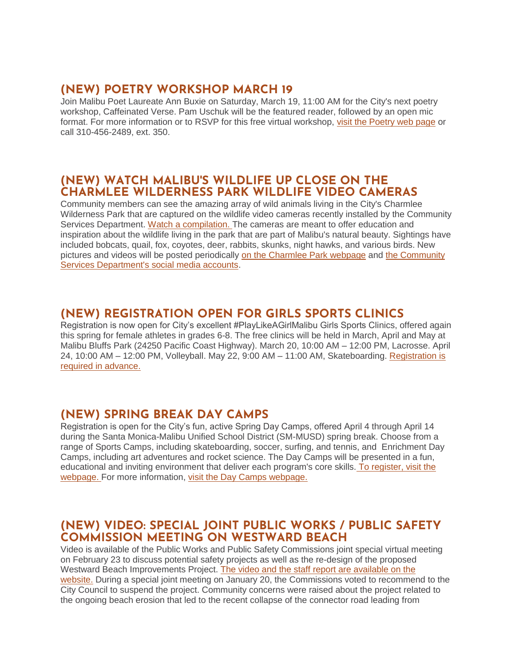## **(NEW) POETRY WORKSHOP MARCH 19**

Join Malibu Poet Laureate Ann Buxie on Saturday, March 19, 11:00 AM for the City's next poetry workshop, Caffeinated Verse. Pam Uschuk will be the featured reader, followed by an open mic format. For more information or to RSVP for this free virtual workshop, [visit the Poetry web page](https://www.malibucity.org/poetry) or call 310-456-2489, ext. 350.

## **(NEW) WATCH MALIBU'S WILDLIFE UP CLOSE ON THE CHARMLEE WILDERNESS PARK WILDLIFE VIDEO CAMERAS**

Community members can see the amazing array of wild animals living in the City's Charmlee Wilderness Park that are captured on the wildlife video cameras recently installed by the Community Services Department. [Watch a compilation.](https://youtu.be/W5-efClRgxA) The cameras are meant to offer education and inspiration about the wildlife living in the park that are part of Malibu's natural beauty. Sightings have included bobcats, quail, fox, coyotes, deer, rabbits, skunks, night hawks, and various birds. New pictures and videos will be posted periodically [on the Charmlee Park webpage](https://www.malibucity.org/561/Charmlee-Wilderness-Park) and the Community [Services Department's social media accounts.](https://www.malibucity.org/1087/Social-Media)

## **(NEW) REGISTRATION OPEN FOR GIRLS SPORTS CLINICS**

Registration is now open for City's excellent #PlayLikeAGirlMalibu Girls Sports Clinics, offered again this spring for female athletes in grades 6-8. The free clinics will be held in March, April and May at Malibu Bluffs Park (24250 Pacific Coast Highway). March 20, 10:00 AM – 12:00 PM, Lacrosse. April 24, 10:00 AM – 12:00 PM, Volleyball. May 22, 9:00 AM – 11:00 AM, Skateboarding. [Registration is](https://www.malibucity.org/register)  [required in advance.](https://www.malibucity.org/register) 

# **(NEW) SPRING BREAK DAY CAMPS**

Registration is open for the City's fun, active Spring Day Camps, offered April 4 through April 14 during the Santa Monica-Malibu Unified School District (SM-MUSD) spring break. Choose from a range of Sports Camps, including skateboarding, soccer, surfing, and tennis, and Enrichment Day Camps, including art adventures and rocket science. The Day Camps will be presented in a fun, educational and inviting environment that deliver each program's core skills. [To register, visit the](https://www.malibucity.org/register)  [webpage.](https://www.malibucity.org/register) For more information, [visit the Day Camps webpage.](https://www.malibucity.org/daycamps)

## **(NEW) VIDEO: SPECIAL JOINT PUBLIC WORKS / PUBLIC SAFETY COMMISSION MEETING ON WESTWARD BEACH**

Video is available of the Public Works and Public Safety Commissions joint special virtual meeting on February 23 to discuss potential safety projects as well as the re-design of the proposed Westward Beach Improvements Project. [The video and the staff report are available on the](https://malibucity.primegov.com/Portal/Meeting?compiledMeetingDocumentFileId=2413)  [website.](https://malibucity.primegov.com/Portal/Meeting?compiledMeetingDocumentFileId=2413) During a special joint meeting on January 20, the Commissions voted to recommend to the City Council to suspend the project. Community concerns were raised about the project related to the ongoing beach erosion that led to the recent collapse of the connector road leading from